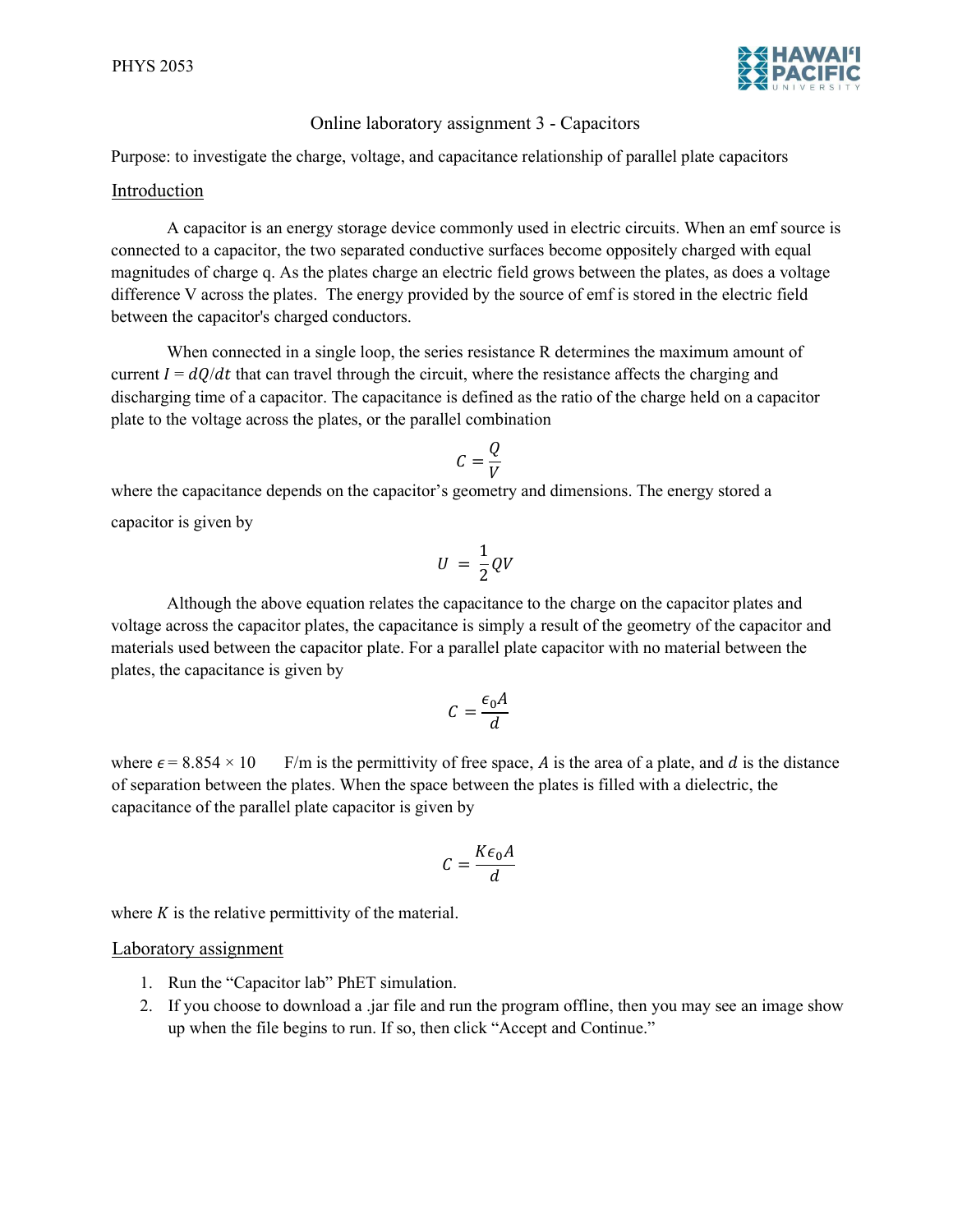

## Online laboratory assignment 3 - Capacitors

Purpose: to investigate the charge, voltage, and capacitance relationship of parallel plate capacitors

#### Introduction

A capacitor is an energy storage device commonly used in electric circuits. When an emf source is connected to a capacitor, the two separated conductive surfaces become oppositely charged with equal magnitudes of charge q. As the plates charge an electric field grows between the plates, as does a voltage difference V across the plates. The energy provided by the source of emf is stored in the electric field between the capacitor's charged conductors.

When connected in a single loop, the series resistance R determines the maximum amount of current  $I = dQ/dt$  that can travel through the circuit, where the resistance affects the charging and discharging time of a capacitor. The capacitance is defined as the ratio of the charge held on a capacitor plate to the voltage across the plates, or the parallel combination

$$
C=\frac{Q}{V}
$$

where the capacitance depends on the capacitor's geometry and dimensions. The energy stored a capacitor is given by

$$
U = \frac{1}{2}QV
$$

Although the above equation relates the capacitance to the charge on the capacitor plates and voltage across the capacitor plates, the capacitance is simply a result of the geometry of the capacitor and materials used between the capacitor plate. For a parallel plate capacitor with no material between the plates, the capacitance is given by

$$
C = \frac{\epsilon_0 A}{d}
$$

where  $\epsilon$  = 8.854 × 10 F/m is the permittivity of free space, A is the area of a plate, and d is the distance of separation between the plates. When the space between the plates is filled with a dielectric, the capacitance of the parallel plate capacitor is given by

$$
C = \frac{K\epsilon_0 A}{d}
$$

where  $K$  is the relative permittivity of the material.

### Laboratory assignment

- 1. Run the "Capacitor lab" PhET simulation.
- 2. If you choose to download a .jar file and run the program offline, then you may see an image show up when the file begins to run. If so, then click "Accept and Continue."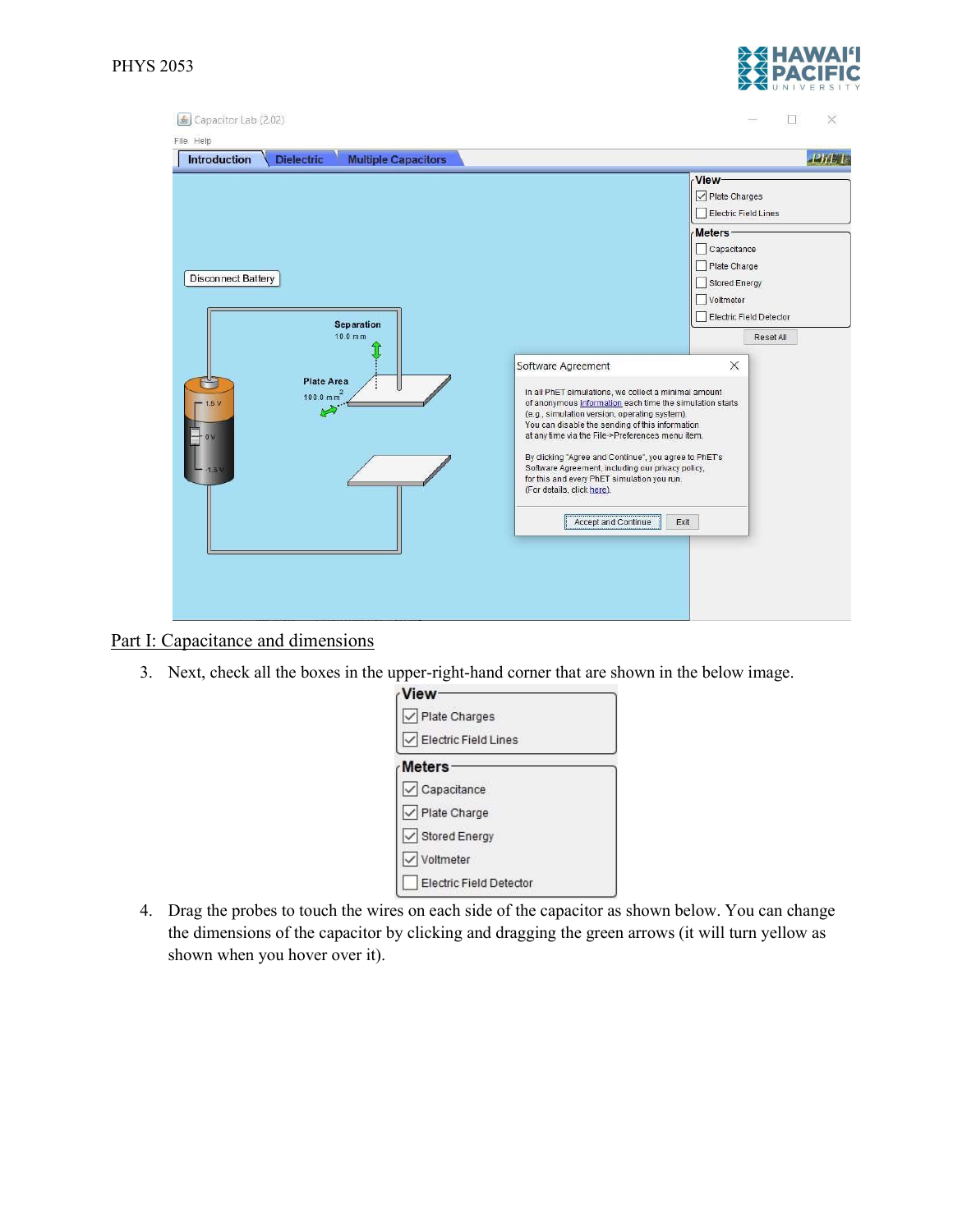

# Part I: Capacitance and dimensions

3. Next, check all the boxes in the upper-right-hand corner that are shown in the below image.

| View                             |  |
|----------------------------------|--|
| Plate Charges                    |  |
| IV Electric Field Lines          |  |
| Meters                           |  |
| $\sqrt{\phantom{a}}$ Capacitance |  |
| √ Plate Charge                   |  |
| √ Stored Energy                  |  |
| Voltmeter<br>$\vee$              |  |
| Electric Field Detector          |  |

4. Drag the probes to touch the wires on each side of the capacitor as shown below. You can change the dimensions of the capacitor by clicking and dragging the green arrows (it will turn yellow as shown when you hover over it).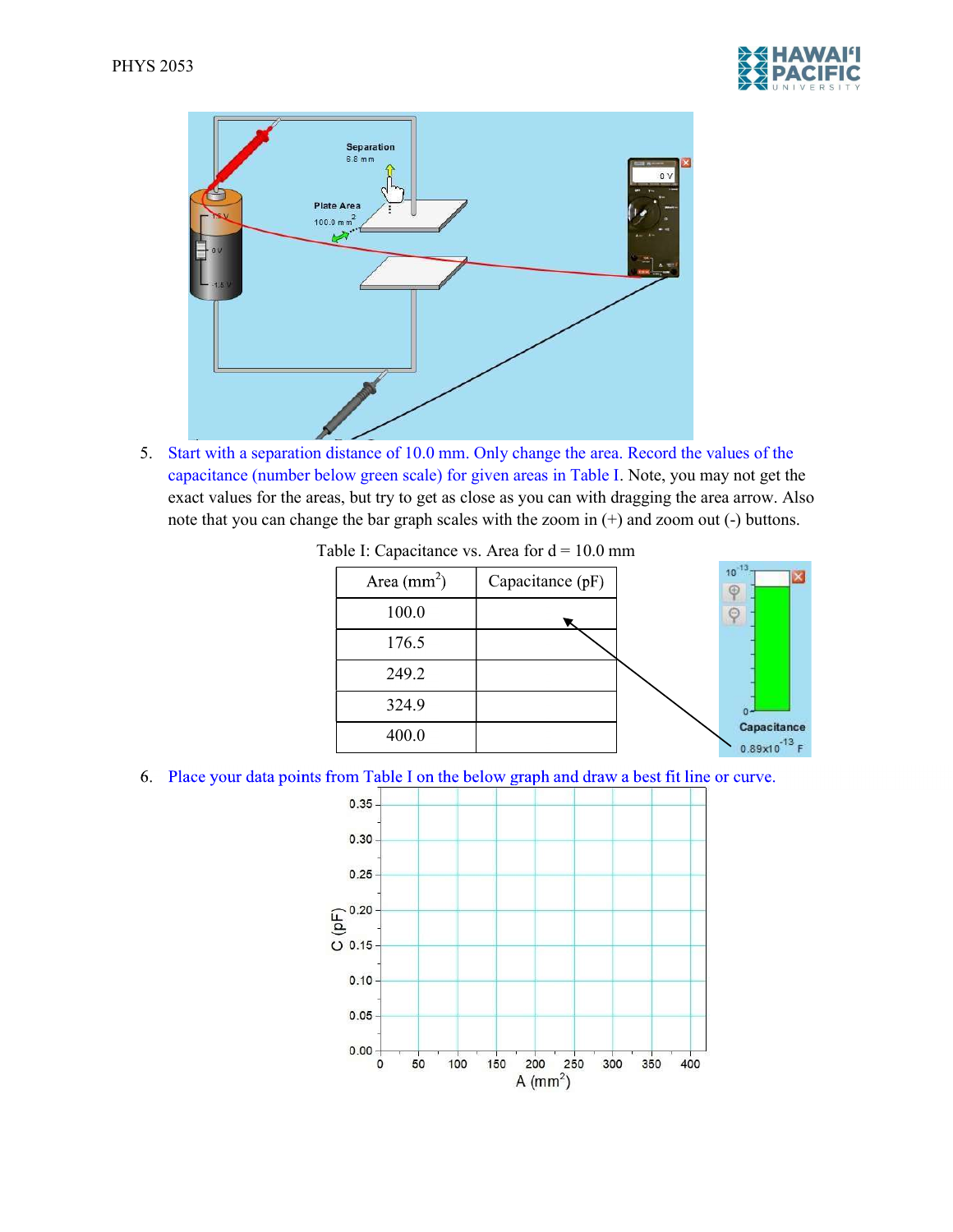



5. Start with a separation distance of 10.0 mm. Only change the area. Record the values of the capacitance (number below green scale) for given areas in Table I. Note, you may not get the exact values for the areas, but try to get as close as you can with dragging the area arrow. Also note that you can change the bar graph scales with the zoom in (+) and zoom out (-) buttons.

Table I: Capacitance vs. Area for  $d = 10.0$  mm



6. Place your data points from Table I on the below graph and draw a best fit line or curve.

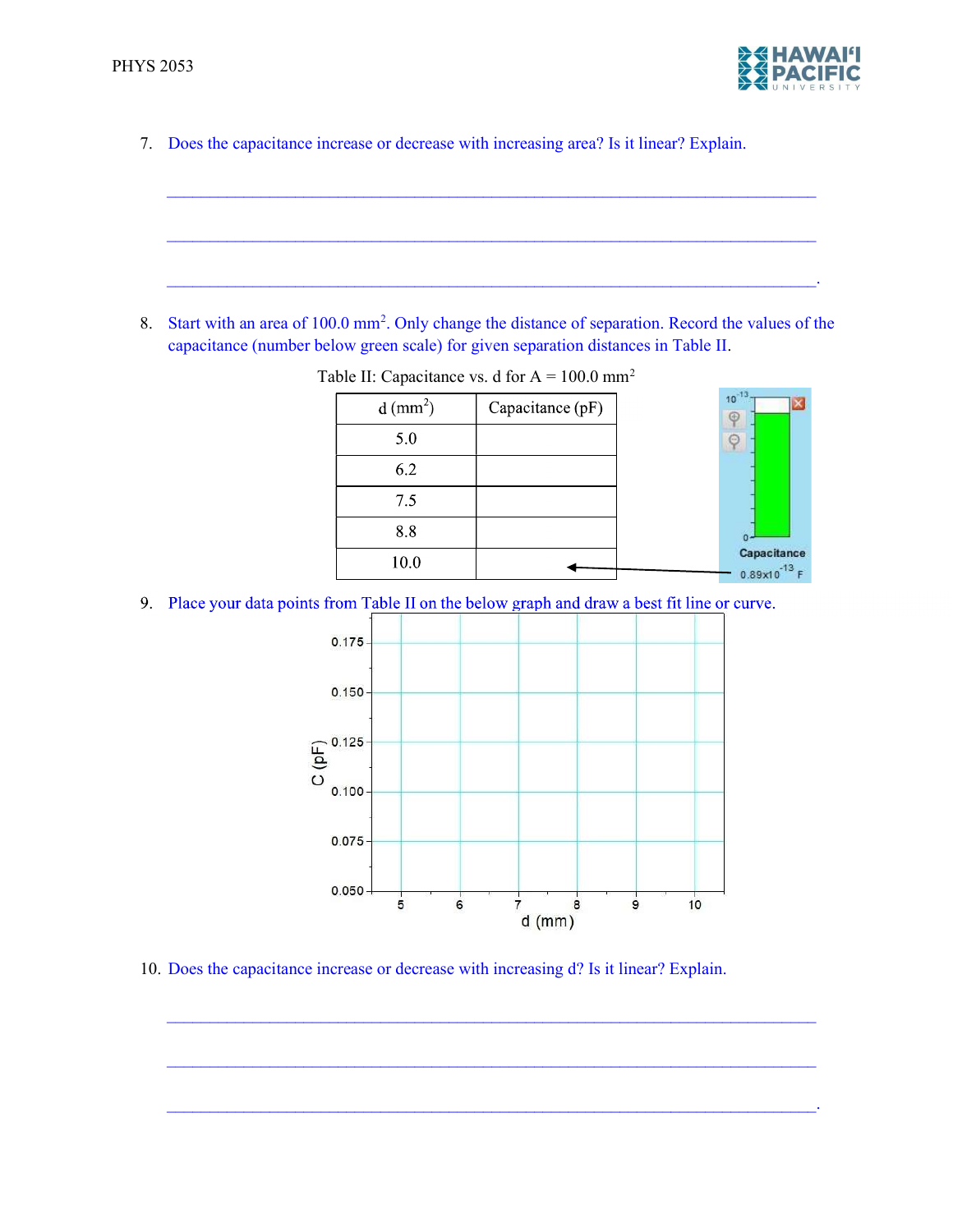

7. Does the capacitance increase or decrease with increasing area? Is it linear? Explain.

8. Start with an area of 100.0 mm<sup>2</sup>. Only change the distance of separation. Record the values of the capacitance (number below green scale) for given separation distances in Table II.

 $\mathcal{L}_\mathcal{L} = \{ \mathcal{L}_\mathcal{L} = \{ \mathcal{L}_\mathcal{L} = \{ \mathcal{L}_\mathcal{L} = \{ \mathcal{L}_\mathcal{L} = \{ \mathcal{L}_\mathcal{L} = \{ \mathcal{L}_\mathcal{L} = \{ \mathcal{L}_\mathcal{L} = \{ \mathcal{L}_\mathcal{L} = \{ \mathcal{L}_\mathcal{L} = \{ \mathcal{L}_\mathcal{L} = \{ \mathcal{L}_\mathcal{L} = \{ \mathcal{L}_\mathcal{L} = \{ \mathcal{L}_\mathcal{L} = \{ \mathcal{L}_\mathcal{$ 

 $\mathcal{L}_\mathcal{L} = \{ \mathcal{L}_\mathcal{L} = \{ \mathcal{L}_\mathcal{L} = \{ \mathcal{L}_\mathcal{L} = \{ \mathcal{L}_\mathcal{L} = \{ \mathcal{L}_\mathcal{L} = \{ \mathcal{L}_\mathcal{L} = \{ \mathcal{L}_\mathcal{L} = \{ \mathcal{L}_\mathcal{L} = \{ \mathcal{L}_\mathcal{L} = \{ \mathcal{L}_\mathcal{L} = \{ \mathcal{L}_\mathcal{L} = \{ \mathcal{L}_\mathcal{L} = \{ \mathcal{L}_\mathcal{L} = \{ \mathcal{L}_\mathcal{$ 

 $\mathcal{L}_\mathcal{L} = \mathcal{L}_\mathcal{L} = \mathcal{L}_\mathcal{L} = \mathcal{L}_\mathcal{L} = \mathcal{L}_\mathcal{L} = \mathcal{L}_\mathcal{L} = \mathcal{L}_\mathcal{L} = \mathcal{L}_\mathcal{L} = \mathcal{L}_\mathcal{L} = \mathcal{L}_\mathcal{L} = \mathcal{L}_\mathcal{L} = \mathcal{L}_\mathcal{L} = \mathcal{L}_\mathcal{L} = \mathcal{L}_\mathcal{L} = \mathcal{L}_\mathcal{L} = \mathcal{L}_\mathcal{L} = \mathcal{L}_\mathcal{L}$ 



Table II: Capacitance vs. d for  $A = 100.0$  mm<sup>2</sup>

9. Place your data points from Table II on the below graph and draw a best fit line or curve.



10. Does the capacitance increase or decrease with increasing d? Is it linear? Explain.

 $\mathcal{L}_\mathcal{L} = \{ \mathcal{L}_\mathcal{L} = \{ \mathcal{L}_\mathcal{L} = \{ \mathcal{L}_\mathcal{L} = \{ \mathcal{L}_\mathcal{L} = \{ \mathcal{L}_\mathcal{L} = \{ \mathcal{L}_\mathcal{L} = \{ \mathcal{L}_\mathcal{L} = \{ \mathcal{L}_\mathcal{L} = \{ \mathcal{L}_\mathcal{L} = \{ \mathcal{L}_\mathcal{L} = \{ \mathcal{L}_\mathcal{L} = \{ \mathcal{L}_\mathcal{L} = \{ \mathcal{L}_\mathcal{L} = \{ \mathcal{L}_\mathcal{$ 

 $\mathcal{L}_\mathcal{L} = \mathcal{L}_\mathcal{L} = \mathcal{L}_\mathcal{L} = \mathcal{L}_\mathcal{L} = \mathcal{L}_\mathcal{L} = \mathcal{L}_\mathcal{L} = \mathcal{L}_\mathcal{L} = \mathcal{L}_\mathcal{L} = \mathcal{L}_\mathcal{L} = \mathcal{L}_\mathcal{L} = \mathcal{L}_\mathcal{L} = \mathcal{L}_\mathcal{L} = \mathcal{L}_\mathcal{L} = \mathcal{L}_\mathcal{L} = \mathcal{L}_\mathcal{L} = \mathcal{L}_\mathcal{L} = \mathcal{L}_\mathcal{L}$ 

 $\mathcal{L}_\mathcal{L} = \mathcal{L}_\mathcal{L} = \mathcal{L}_\mathcal{L} = \mathcal{L}_\mathcal{L} = \mathcal{L}_\mathcal{L} = \mathcal{L}_\mathcal{L} = \mathcal{L}_\mathcal{L} = \mathcal{L}_\mathcal{L} = \mathcal{L}_\mathcal{L} = \mathcal{L}_\mathcal{L} = \mathcal{L}_\mathcal{L} = \mathcal{L}_\mathcal{L} = \mathcal{L}_\mathcal{L} = \mathcal{L}_\mathcal{L} = \mathcal{L}_\mathcal{L} = \mathcal{L}_\mathcal{L} = \mathcal{L}_\mathcal{L}$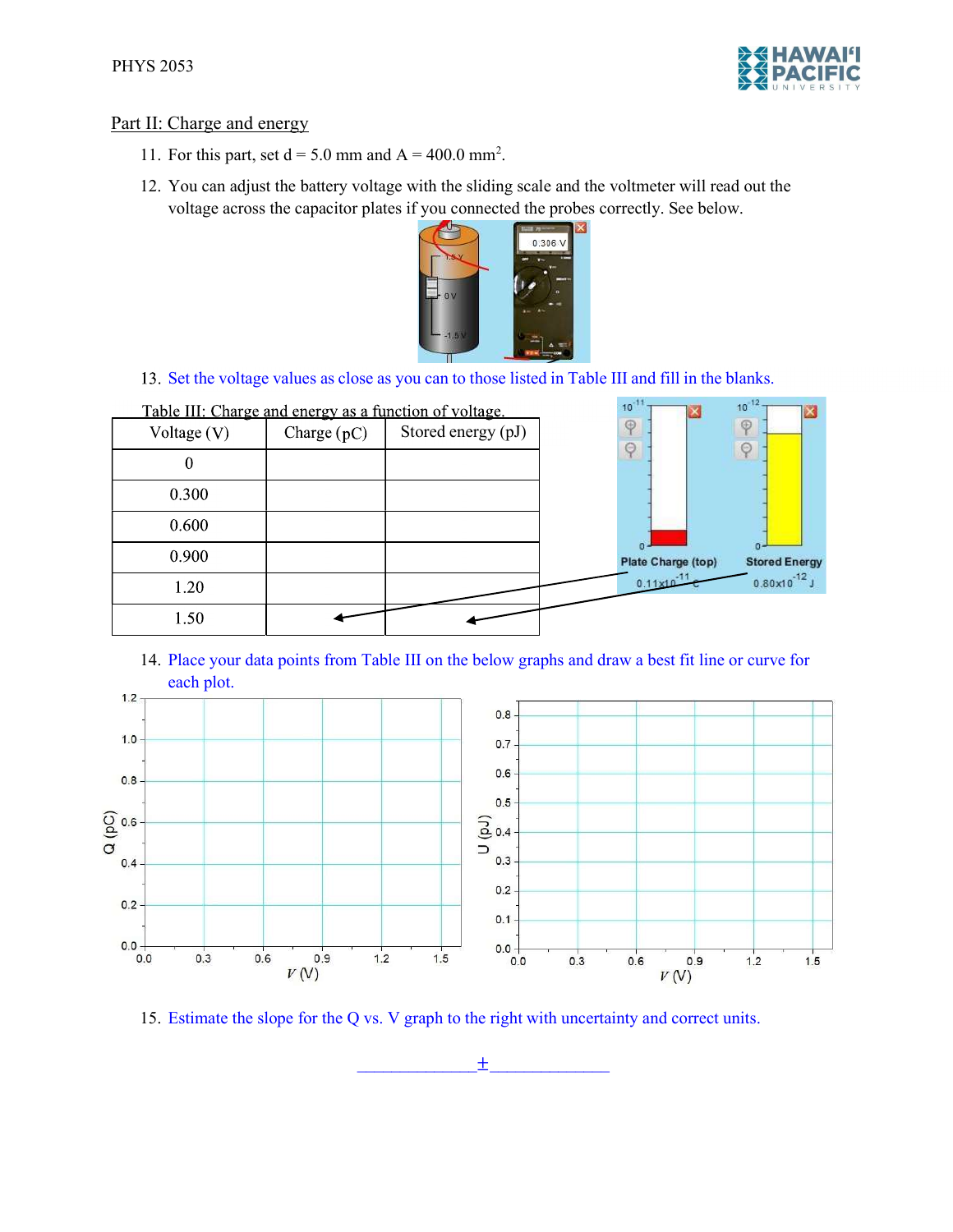

# Part II: Charge and energy

- 11. For this part, set  $d = 5.0$  mm and  $A = 400.0$  mm<sup>2</sup>.
- 12. You can adjust the battery voltage with the sliding scale and the voltmeter will read out the voltage across the capacitor plates if you connected the probes correctly. See below.



 $10^{-11}$   $\frac{1}{1}$ 

 $10^{-12}$  T

**Text** 

13. Set the voltage values as close as you can to those listed in Table III and fill in the blanks.

|               |               | <u>rable III. Charge and energy as a function of voltage.</u> |                           | R<br>◠                 |
|---------------|---------------|---------------------------------------------------------------|---------------------------|------------------------|
| Voltage $(V)$ | Charge $(pC)$ | Stored energy (pJ)                                            | $\oplus$<br>$\Theta$      | $\circledcirc$         |
| 0             |               |                                                               |                           | $\odot$                |
| 0.300         |               |                                                               |                           |                        |
| 0.600         |               |                                                               |                           |                        |
| 0.900         |               |                                                               | <b>Plate Charge (top)</b> | <b>Stored Energ</b>    |
| 1.20          |               |                                                               | $0.11 \times 10^{-11}$    | $0.80 \times 10^{-12}$ |
| 1.50          |               |                                                               |                           |                        |

Table III: Charge and energy as a function of voltage

14. Place your data points from Table III on the below graphs and draw a best fit line or curve for each plot.



15. Estimate the slope for the Q vs. V graph to the right with uncertainty and correct units.